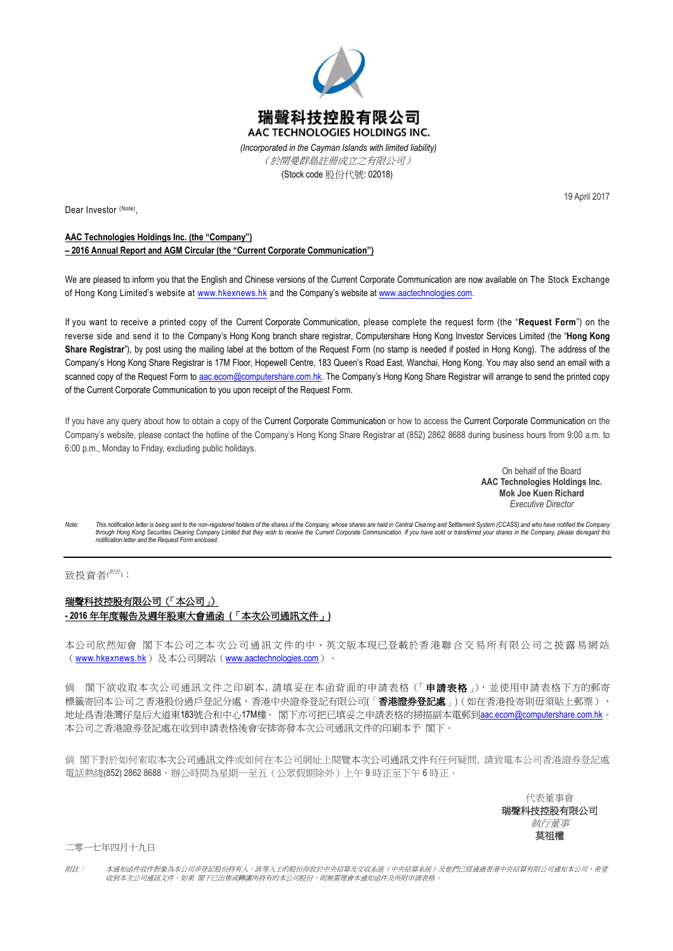

(Stock code 股份代號: 02018)

Dear Investor (*Note*) ,

19 April 2017

## **AAC Technologies Holdings Inc. (the "Company")**

**– 2016 Annual Report and AGM Circular (the "Current Corporate Communication")**

We are pleased to inform you that the English and Chinese versions of the Current Corporate Communication are now available on The Stock Exchange of Hong Kong Limited's website at [www.hkexnews.hk](http://www.hkexnews.hk/) and the Company's website at [www.aactechnologies.com.](http://www.aactechnologies.com/) 

If you want to receive a printed copy of the Current Corporate Communication, please complete the request form (the "**Request Form**") on the reverse side and send it to the Company's Hong Kong branch share registrar, Computershare Hong Kong Investor Services Limited (the "**Hong Kong Share Registrar**"), by post using the mailing label at the bottom of the Request Form (no stamp is needed if posted in Hong Kong). The address of the Company's Hong Kong Share Registrar is 17M Floor, Hopewell Centre, 183 Queen's Road East, Wanchai, Hong Kong. You may also send an email with a scanned copy of the Request Form to [aac.ecom@computershare.com.hk.](mailto:aac.ecom@computershare.com.hk) The Company's Hong Kong Share Registrar will arrange to send the printed copy of the Current Corporate Communication to you upon receipt of the Request Form.

If you have any query about how to obtain a copy of the Current Corporate Communication or how to access the Current Corporate Communication on the Company's website, please contact the hotline of the Company's Hong Kong Share Registrar at (852) 2862 8688 during business hours from 9:00 a.m. to 6:00 p.m., Monday to Friday, excluding public holidays.

> On behalf of the Board **AAC Technologies Holdings Inc. Mok Joe Kuen Richard**  *Executive Director*

Note: This notification letter is being sent to the non-registered holders of the shares of the Company, whose shares are held in Central Clearing and Settlement System (CCASS) and who have notified the Company<br>through Hon *notification letter and the Request Form enclosed.*

## 致投資者(<sup>///法)</sup>:

## 瑞聲科技控股有限公司(「本公司」) **- 2016** 年年度報告及週年股東大會通函 **(**「本次公司通訊文件」**)**

本公司欣然知會 閣下本公司之本次公司通訊文件的中、英文版本現已登載於香港聯合交易所有限公司之披露易網站 ([www.hkexnews.hk](http://www.hkexnews.hk/))及本公司網站([www.aactechnologies.com](http://www.aactechnologies.com/))。

倘 閣下欲收取本次公司通訊文件之印刷本, 請填妥在本函背面的申請表格(「申讀表格」), 並使用申請表格下方的郵寄 標籤寄回本公司之香港股份過戶登記分處,香港中央證券登記有限公司(「**香港證券登記處**」)(如在香港投寄則毋須貼上郵票), 地址爲香港灣仔皇后大道東183號合和中心17M樓。 閣下亦可把已填妥之申請表格的掃描副本電郵到[aac.ecom@computershare.com.hk](mailto:aac.ecom@computershare.com.hk)。 本公司之香港證券登記處在收到申請表格後會安排寄發本次公司通訊文件的印刷本予 閣下。

倘 閣下對於如何索取本次公司通訊文件或如何在本公司網址上閱覽本次公司通訊文件有任何疑問, 請致電本公司香港證券登記處 電話熱綫(852) 2862 8688,辦公時間為星期一至五(公眾假期除外)上午 9 時正至下午 6 時正。

> 代表董事會 瑞聲科技控股有限公司 執行董事 莫祖權

二零一七年四月十九日

附註: 本通知函件收件對象為本公司非登記股份持有人。該等人士的股份存放於中央結算及交收系統(中央結算系統)及他們已經通過香港中央結算有限公司通知本公司,希望 收到本次公司通訊文件。如果 閣下已出售或轉讓所持有的本公司股份,則無需理會本通知函件及所附申請表格。